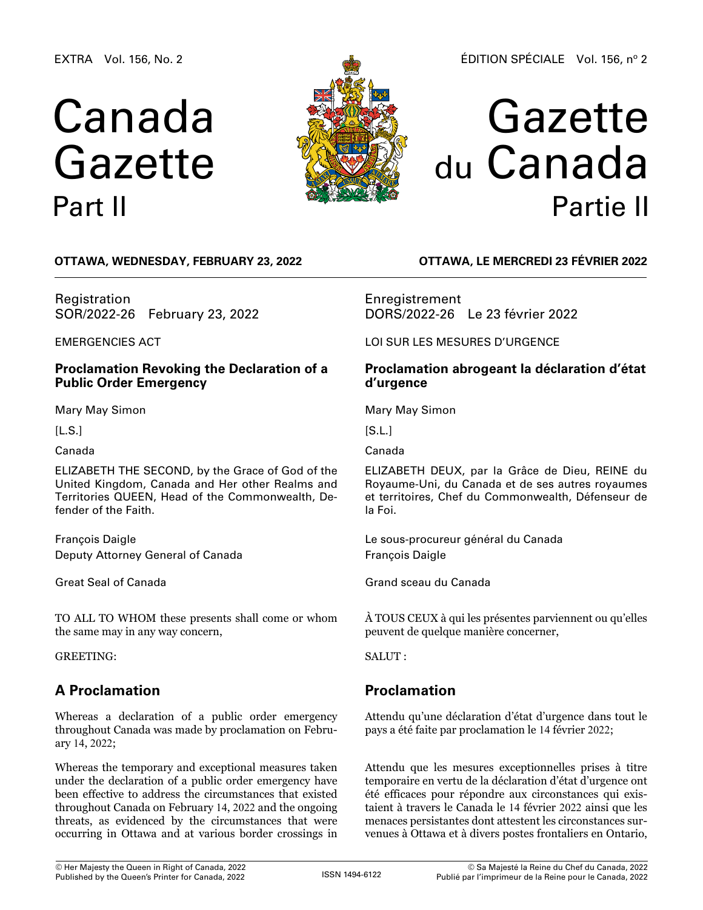EXTRA Vol. 156, No. 2

# Canada Gazette Part II



# Gazette du Canada Partie II

**OTTAWA, Wednesday, February 23, 2022**

Registration SOR/2022-26 February 23, 2022

EMERGENCIES ACT

## **Proclamation Revoking the Declaration of a Public Order Emergency**

Mary May Simon

 $[L.S.]$ 

Canada

ELIZABETH THE SECOND, by the Grace of God of the United Kingdom, Canada and Her other Realms and Territories QUEEN, Head of the Commonwealth, Defender of the Faith.

François Daigle Deputy Attorney General of Canada

Great Seal of Canada

TO ALL TO WHOM these presents shall come or whom the same may in any way concern,

GREETING:

## **A Proclamation**

Whereas a declaration of a public order emergency throughout Canada was made by proclamation on February 14, 2022;

Whereas the temporary and exceptional measures taken under the declaration of a public order emergency have been effective to address the circumstances that existed throughout Canada on February 14, 2022 and the ongoing threats, as evidenced by the circumstances that were occurring in Ottawa and at various border crossings in

**OTTAWA, LE mercredi 23 février 2022**

Enregistrement DORS/2022-26 Le 23 février 2022

LOI SUR LES MESURES D'URGENCE

## **Proclamation abrogeant la déclaration d'état d'urgence**

Mary May Simon

 $[S.L.]$ 

Canada

ELIZABETH DEUX, par la Grâce de Dieu, REINE du Royaume-Uni, du Canada et de ses autres royaumes et territoires, Chef du Commonwealth, Défenseur de la Foi.

Le sous-procureur général du Canada François Daigle

Grand sceau du Canada

À TOUS CEUX à qui les présentes parviennent ou qu'elles peuvent de quelque manière concerner,

SALUT :

## **Proclamation**

Attendu qu'une déclaration d'état d'urgence dans tout le pays a été faite par proclamation le 14 février 2022;

Attendu que les mesures exceptionnelles prises à titre temporaire en vertu de la déclaration d'état d'urgence ont été efficaces pour répondre aux circonstances qui existaient à travers le Canada le 14 février 2022 ainsi que les menaces persistantes dont attestent les circonstances survenues à Ottawa et à divers postes frontaliers en Ontario,